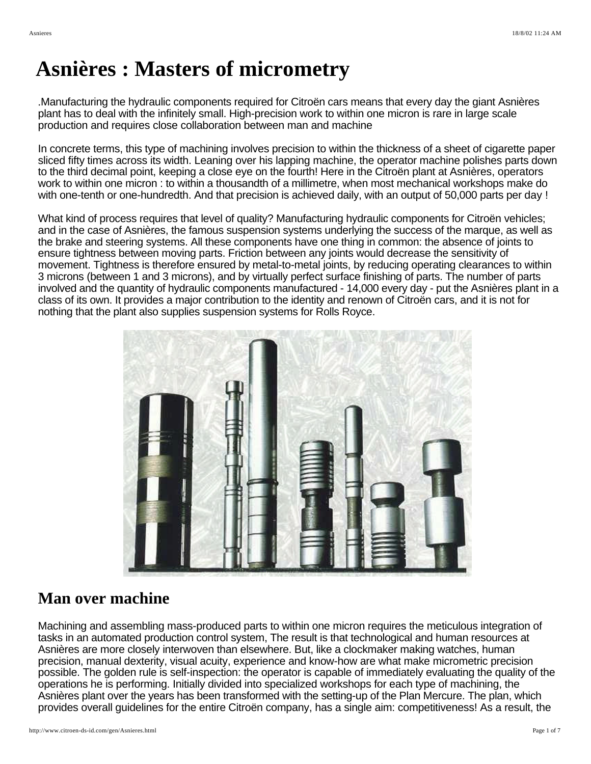# **Asnières : Masters of micrometry**

.Manufacturing the hydraulic components required for Citroën cars means that every day the giant Asnières plant has to deal with the infinitely small. High-precision work to within one micron is rare in large scale production and requires close collaboration between man and machine

In concrete terms, this type of machining involves precision to within the thickness of a sheet of cigarette paper sliced fifty times across its width. Leaning over his lapping machine, the operator machine polishes parts down to the third decimal point, keeping a close eye on the fourth! Here in the Citroën plant at Asnières, operators work to within one micron : to within a thousandth of a millimetre, when most mechanical workshops make do with one-tenth or one-hundredth. And that precision is achieved daily, with an output of 50,000 parts per day !

What kind of process requires that level of quality? Manufacturing hydraulic components for Citroën vehicles; and in the case of Asnières, the famous suspension systems underlying the success of the marque, as well as the brake and steering systems. All these components have one thing in common: the absence of joints to ensure tightness between moving parts. Friction between any joints would decrease the sensitivity of movement. Tightness is therefore ensured by metal-to-metal joints, by reducing operating clearances to within 3 microns (between 1 and 3 microns), and by virtually perfect surface finishing of parts. The number of parts involved and the quantity of hydraulic components manufactured - 14,000 every day - put the Asnières plant in a class of its own. It provides a major contribution to the identity and renown of Citroën cars, and it is not for nothing that the plant also supplies suspension systems for Rolls Royce.



### **Man over machine**

Machining and assembling mass-produced parts to within one micron requires the meticulous integration of tasks in an automated production control system, The result is that technological and human resources at Asnières are more closely interwoven than elsewhere. But, like a clockmaker making watches, human precision, manual dexterity, visual acuity, experience and know-how are what make micrometric precision possible. The golden rule is self-inspection: the operator is capable of immediately evaluating the quality of the operations he is performing. Initially divided into specialized workshops for each type of machining, the Asnières plant over the years has been transformed with the setting-up of the Plan Mercure. The plan, which provides overall guidelines for the entire Citroën company, has a single aim: competitiveness! As a result, the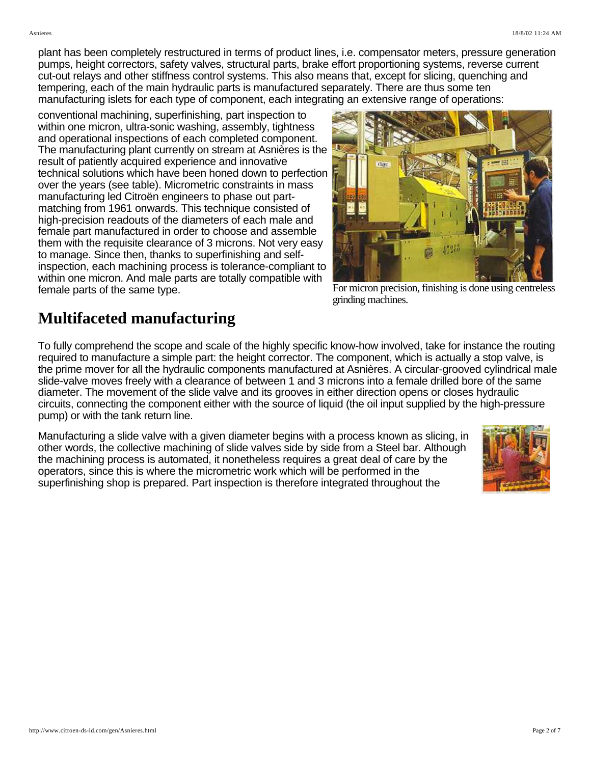plant has been completely restructured in terms of product lines, i.e. compensator meters, pressure generation pumps, height correctors, safety valves, structural parts, brake effort proportioning systems, reverse current cut-out relays and other stiffness control systems. This also means that, except for slicing, quenching and tempering, each of the main hydraulic parts is manufactured separately. There are thus some ten manufacturing islets for each type of component, each integrating an extensive range of operations:

conventional machining, superfinishing, part inspection to within one micron, ultra-sonic washing, assembly, tightness and operational inspections of each completed component. The manufacturing plant currently on stream at Asnières is the result of patiently acquired experience and innovative technical solutions which have been honed down to perfection over the years (see table). Micrometric constraints in mass manufacturing led Citroën engineers to phase out partmatching from 1961 onwards. This technique consisted of high-precision readouts of the diameters of each male and female part manufactured in order to choose and assemble them with the requisite clearance of 3 microns. Not very easy to manage. Since then, thanks to superfinishing and selfinspection, each machining process is tolerance-compliant to within one micron. And male parts are totally compatible with female parts of the same type. For micron precision, finishing is done using centreless



grinding machines.

## **Multifaceted manufacturing**

To fully comprehend the scope and scale of the highly specific know-how involved, take for instance the routing required to manufacture a simple part: the height corrector. The component, which is actually a stop valve, is the prime mover for all the hydraulic components manufactured at Asnières. A circular-grooved cylindrical male slide-valve moves freely with a clearance of between 1 and 3 microns into a female drilled bore of the same diameter. The movement of the slide valve and its grooves in either direction opens or closes hydraulic circuits, connecting the component either with the source of liquid (the oil input supplied by the high-pressure pump) or with the tank return line.

Manufacturing a slide valve with a given diameter begins with a process known as slicing, in other words, the collective machining of slide valves side by side from a Steel bar. Although the machining process is automated, it nonetheless requires a great deal of care by the operators, since this is where the micrometric work which will be performed in the superfinishing shop is prepared. Part inspection is therefore integrated throughout the

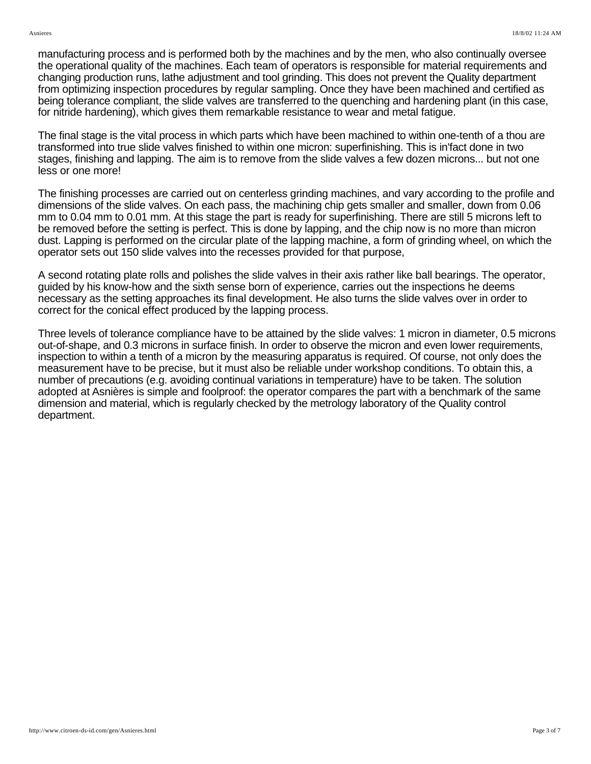manufacturing process and is performed both by the machines and by the men, who also continually oversee the operational quality of the machines. Each team of operators is responsible for material requirements and changing production runs, lathe adjustment and tool grinding. This does not prevent the Quality department from optimizing inspection procedures by regular sampling. Once they have been machined and certified as being tolerance compliant, the slide valves are transferred to the quenching and hardening plant (in this case, for nitride hardening), which gives them remarkable resistance to wear and metal fatigue.

The final stage is the vital process in which parts which have been machined to within one-tenth of a thou are transformed into true slide valves finished to within one micron: superfinishing. This is in'fact done in two stages, finishing and lapping. The aim is to remove from the slide valves a few dozen microns... but not one less or one more!

The finishing processes are carried out on centerless grinding machines, and vary according to the profile and dimensions of the slide valves. On each pass, the machining chip gets smaller and smaller, down from 0.06 mm to 0.04 mm to 0.01 mm. At this stage the part is ready for superfinishing. There are still 5 microns left to be removed before the setting is perfect. This is done by lapping, and the chip now is no more than micron dust. Lapping is performed on the circular plate of the lapping machine, a form of grinding wheel, on which the operator sets out 150 slide valves into the recesses provided for that purpose,

A second rotating plate rolls and polishes the slide valves in their axis rather like ball bearings. The operator, guided by his know-how and the sixth sense born of experience, carries out the inspections he deems necessary as the setting approaches its final development. He also turns the slide valves over in order to correct for the conical effect produced by the lapping process.

Three levels of tolerance compliance have to be attained by the slide valves: 1 micron in diameter, 0.5 microns out-of-shape, and 0.3 microns in surface finish. In order to observe the micron and even lower requirements, inspection to within a tenth of a micron by the measuring apparatus is required. Of course, not only does the measurement have to be precise, but it must also be reliable under workshop conditions. To obtain this, a number of precautions (e.g. avoiding continual variations in temperature) have to be taken. The solution adopted at Asnières is simple and foolproof: the operator compares the part with a benchmark of the same dimension and material, which is regularly checked by the metrology laboratory of the Quality control department.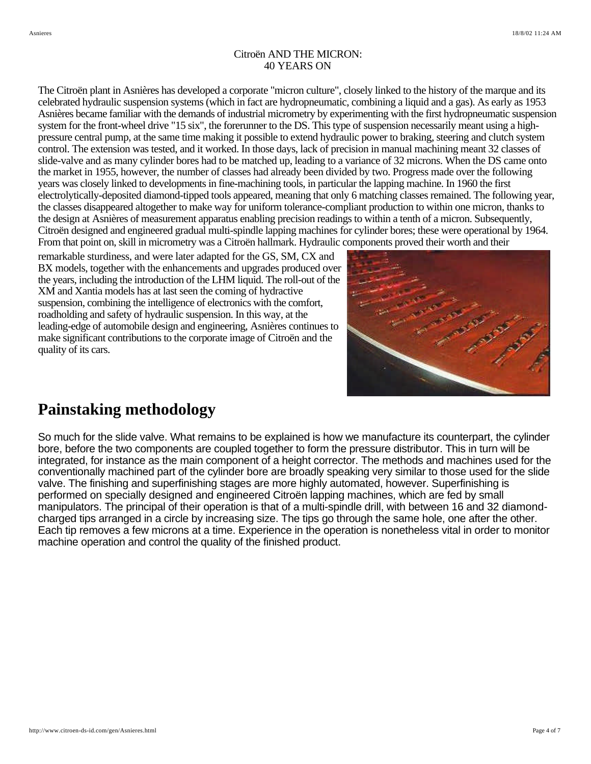#### Citroën AND THE MICRON: 40 YEARS ON

The Citroën plant in Asnières has developed a corporate "micron culture", closely linked to the history of the marque and its celebrated hydraulic suspension systems (which in fact are hydropneumatic, combining a liquid and a gas). As early as 1953 Asnières became familiar with the demands of industrial micrometry by experimenting with the first hydropneumatic suspension system for the front-wheel drive "15 six", the forerunner to the DS. This type of suspension necessarily meant using a highpressure central pump, at the same time making it possible to extend hydraulic power to braking, steering and clutch system control. The extension was tested, and it worked. In those days, lack of precision in manual machining meant 32 classes of slide-valve and as many cylinder bores had to be matched up, leading to a variance of 32 microns. When the DS came onto the market in 1955, however, the number of classes had already been divided by two. Progress made over the following years was closely linked to developments in fine-machining tools, in particular the lapping machine. In 1960 the first electrolytically-deposited diamond-tipped tools appeared, meaning that only 6 matching classes remained. The following year, the classes disappeared altogether to make way for uniform tolerance-compliant production to within one micron, thanks to the design at Asnières of measurement apparatus enabling precision readings to within a tenth of a micron. Subsequently, Citroën designed and engineered gradual multi-spindle lapping machines for cylinder bores; these were operational by 1964. From that point on, skill in micrometry was a Citroën hallmark. Hydraulic components proved their worth and their

remarkable sturdiness, and were later adapted for the GS, SM, CX and BX models, together with the enhancements and upgrades produced over the years, including the introduction of the LHM liquid. The roll-out of the XM and Xantia models has at last seen the coming of hydractive suspension, combining the intelligence of electronics with the comfort, roadholding and safety of hydraulic suspension. In this way, at the leading-edge of automobile design and engineering, Asnières continues to make significant contributions to the corporate image of Citroën and the quality of its cars.



### **Painstaking methodology**

So much for the slide valve. What remains to be explained is how we manufacture its counterpart, the cylinder bore, before the two components are coupled together to form the pressure distributor. This in turn will be integrated, for instance as the main component of a height corrector. The methods and machines used for the conventionally machined part of the cylinder bore are broadly speaking very similar to those used for the slide valve. The finishing and superfinishing stages are more highly automated, however. Superfinishing is performed on specially designed and engineered Citroën lapping machines, which are fed by small manipulators. The principal of their operation is that of a multi-spindle drill, with between 16 and 32 diamondcharged tips arranged in a circle by increasing size. The tips go through the same hole, one after the other. Each tip removes a few microns at a time. Experience in the operation is nonetheless vital in order to monitor machine operation and control the quality of the finished product.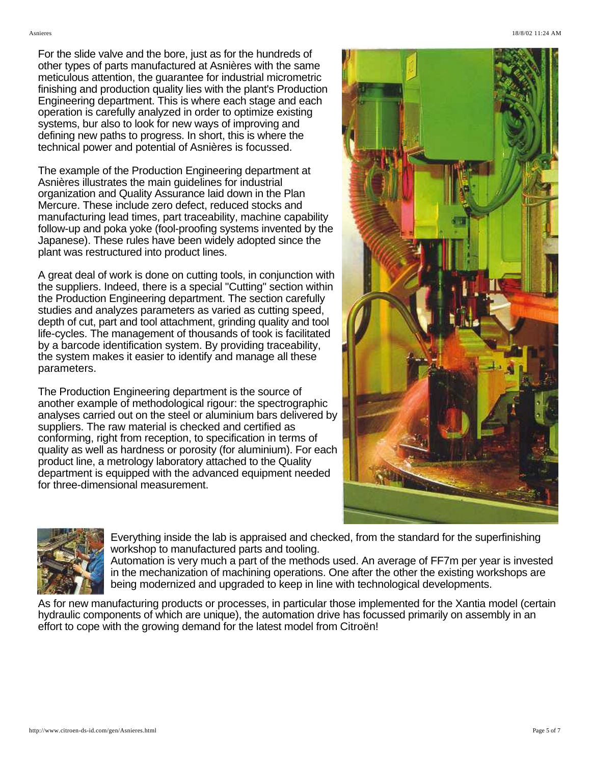For the slide valve and the bore, just as for the hundreds of other types of parts manufactured at Asnières with the same meticulous attention, the guarantee for industrial micrometric finishing and production quality lies with the plant's Production Engineering department. This is where each stage and each operation is carefully analyzed in order to optimize existing systems, bur also to look for new ways of improving and defining new paths to progress. In short, this is where the technical power and potential of Asnières is focussed.

The example of the Production Engineering department at Asnières illustrates the main guidelines for industrial organization and Quality Assurance laid down in the Plan Mercure. These include zero defect, reduced stocks and manufacturing lead times, part traceability, machine capability follow-up and poka yoke (fool-proofing systems invented by the Japanese). These rules have been widely adopted since the plant was restructured into product lines.

A great deal of work is done on cutting tools, in conjunction with the suppliers. Indeed, there is a special "Cutting" section within the Production Engineering department. The section carefully studies and analyzes parameters as varied as cutting speed, depth of cut, part and tool attachment, grinding quality and tool life-cycles. The management of thousands of took is facilitated by a barcode identification system. By providing traceability, the system makes it easier to identify and manage all these parameters.

The Production Engineering department is the source of another example of methodological rigour: the spectrographic analyses carried out on the steel or aluminium bars delivered by suppliers. The raw material is checked and certified as conforming, right from reception, to specification in terms of quality as well as hardness or porosity (for aluminium). For each product line, a metrology laboratory attached to the Quality department is equipped with the advanced equipment needed for three-dimensional measurement.





Everything inside the lab is appraised and checked, from the standard for the superfinishing workshop to manufactured parts and tooling.

Automation is very much a part of the methods used. An average of FF7m per year is invested in the mechanization of machining operations. One after the other the existing workshops are being modernized and upgraded to keep in line with technological developments.

As for new manufacturing products or processes, in particular those implemented for the Xantia model (certain hydraulic components of which are unique), the automation drive has focussed primarily on assembly in an effort to cope with the growing demand for the latest model from Citroën!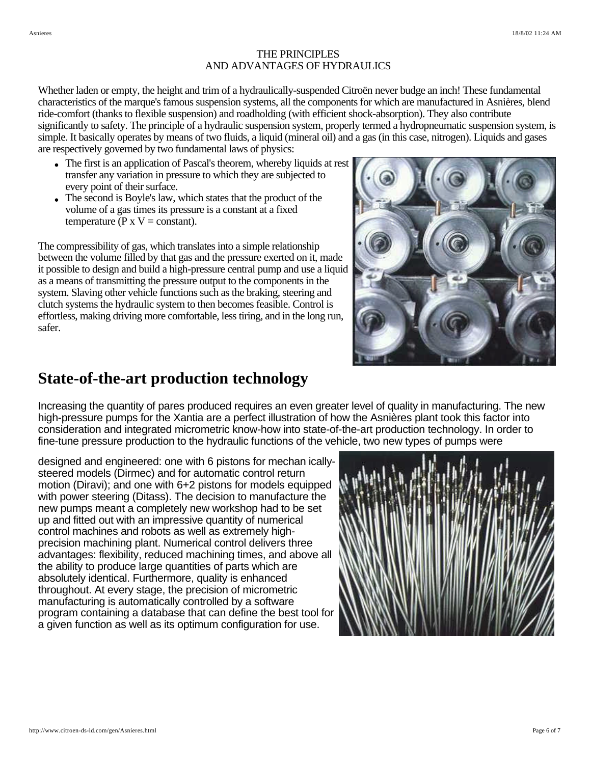#### THE PRINCIPLES AND ADVANTAGES OF HYDRAULICS

Whether laden or empty, the height and trim of a hydraulically-suspended Citroën never budge an inch! These fundamental characteristics of the marque's famous suspension systems, all the components for which are manufactured in Asnières, blend ride-comfort (thanks to flexible suspension) and roadholding (with efficient shock-absorption). They also contribute significantly to safety. The principle of a hydraulic suspension system, properly termed a hydropneumatic suspension system, is simple. It basically operates by means of two fluids, a liquid (mineral oil) and a gas (in this case, nitrogen). Liquids and gases are respectively governed by two fundamental laws of physics:

- The first is an application of Pascal's theorem, whereby liquids at rest transfer any variation in pressure to which they are subjected to every point of their surface.
- The second is Boyle's law, which states that the product of the volume of a gas times its pressure is a constant at a fixed temperature ( $P \times V = constant$ ).

The compressibility of gas, which translates into a simple relationship between the volume filled by that gas and the pressure exerted on it, made it possible to design and build a high-pressure central pump and use a liquid as a means of transmitting the pressure output to the components in the system. Slaving other vehicle functions such as the braking, steering and clutch systems the hydraulic system to then becomes feasible. Control is effortless, making driving more comfortable, less tiring, and in the long run, safer.



### **State-of-the-art production technology**

Increasing the quantity of pares produced requires an even greater level of quality in manufacturing. The new high-pressure pumps for the Xantia are a perfect illustration of how the Asnières plant took this factor into consideration and integrated micrometric know-how into state-of-the-art production technology. In order to fine-tune pressure production to the hydraulic functions of the vehicle, two new types of pumps were

designed and engineered: one with 6 pistons for mechan icallysteered models (Dirmec) and for automatic control return motion (Diravi); and one with 6+2 pistons for models equipped with power steering (Ditass). The decision to manufacture the new pumps meant a completely new workshop had to be set up and fitted out with an impressive quantity of numerical control machines and robots as well as extremely highprecision machining plant. Numerical control delivers three advantages: flexibility, reduced machining times, and above all the ability to produce large quantities of parts which are absolutely identical. Furthermore, quality is enhanced throughout. At every stage, the precision of micrometric manufacturing is automatically controlled by a software program containing a database that can define the best tool for a given function as well as its optimum configuration for use.